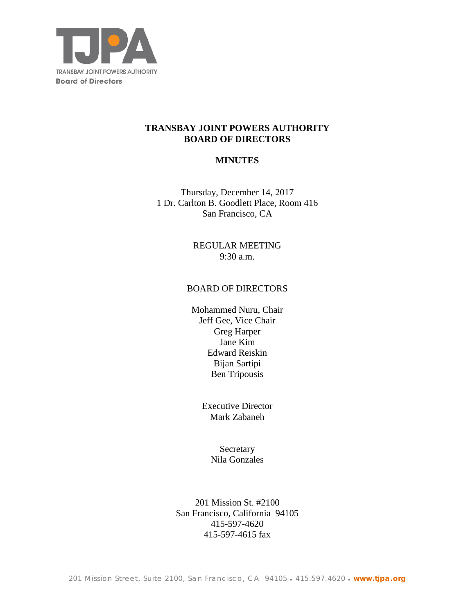

## **TRANSBAY JOINT POWERS AUTHORITY BOARD OF DIRECTORS**

## **MINUTES**

Thursday, December 14, 2017 1 Dr. Carlton B. Goodlett Place, Room 416 San Francisco, CA

> REGULAR MEETING 9:30 a.m.

### BOARD OF DIRECTORS

Mohammed Nuru, Chair Jeff Gee, Vice Chair Greg Harper Jane Kim Edward Reiskin Bijan Sartipi Ben Tripousis

> Executive Director Mark Zabaneh

> > Secretary Nila Gonzales

201 Mission St. #2100 San Francisco, California 94105 415-597-4620 415-597-4615 fax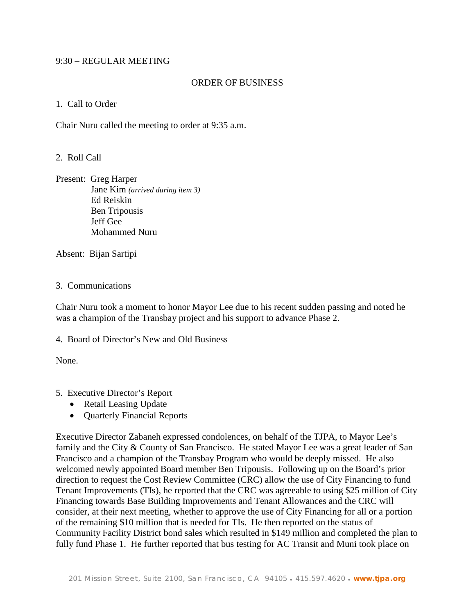### 9:30 – REGULAR MEETING

### ORDER OF BUSINESS

### 1. Call to Order

Chair Nuru called the meeting to order at 9:35 a.m.

## 2. Roll Call

Present: Greg Harper Jane Kim *(arrived during item 3)* Ed Reiskin Ben Tripousis Jeff Gee Mohammed Nuru

Absent: Bijan Sartipi

## 3. Communications

Chair Nuru took a moment to honor Mayor Lee due to his recent sudden passing and noted he was a champion of the Transbay project and his support to advance Phase 2.

4. Board of Director's New and Old Business

None.

## 5. Executive Director's Report

- Retail Leasing Update
- Quarterly Financial Reports

Executive Director Zabaneh expressed condolences, on behalf of the TJPA, to Mayor Lee's family and the City & County of San Francisco. He stated Mayor Lee was a great leader of San Francisco and a champion of the Transbay Program who would be deeply missed. He also welcomed newly appointed Board member Ben Tripousis. Following up on the Board's prior direction to request the Cost Review Committee (CRC) allow the use of City Financing to fund Tenant Improvements (TIs), he reported that the CRC was agreeable to using \$25 million of City Financing towards Base Building Improvements and Tenant Allowances and the CRC will consider, at their next meeting, whether to approve the use of City Financing for all or a portion of the remaining \$10 million that is needed for TIs. He then reported on the status of Community Facility District bond sales which resulted in \$149 million and completed the plan to fully fund Phase 1. He further reported that bus testing for AC Transit and Muni took place on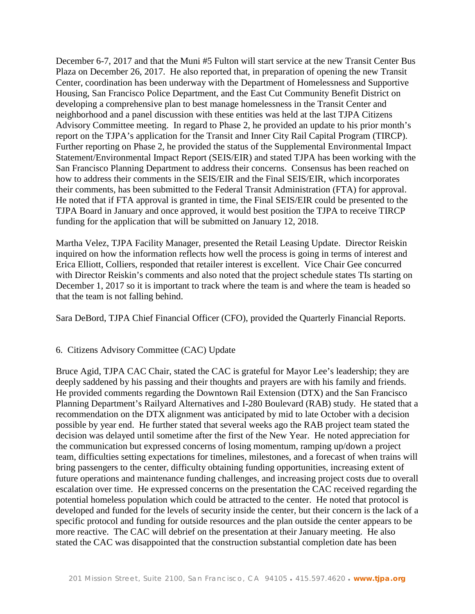December 6-7, 2017 and that the Muni #5 Fulton will start service at the new Transit Center Bus Plaza on December 26, 2017. He also reported that, in preparation of opening the new Transit Center, coordination has been underway with the Department of Homelessness and Supportive Housing, San Francisco Police Department, and the East Cut Community Benefit District on developing a comprehensive plan to best manage homelessness in the Transit Center and neighborhood and a panel discussion with these entities was held at the last TJPA Citizens Advisory Committee meeting. In regard to Phase 2, he provided an update to his prior month's report on the TJPA's application for the Transit and Inner City Rail Capital Program (TIRCP). Further reporting on Phase 2, he provided the status of the Supplemental Environmental Impact Statement/Environmental Impact Report (SEIS/EIR) and stated TJPA has been working with the San Francisco Planning Department to address their concerns. Consensus has been reached on how to address their comments in the SEIS/EIR and the Final SEIS/EIR, which incorporates their comments, has been submitted to the Federal Transit Administration (FTA) for approval. He noted that if FTA approval is granted in time, the Final SEIS/EIR could be presented to the TJPA Board in January and once approved, it would best position the TJPA to receive TIRCP funding for the application that will be submitted on January 12, 2018.

Martha Velez, TJPA Facility Manager, presented the Retail Leasing Update. Director Reiskin inquired on how the information reflects how well the process is going in terms of interest and Erica Elliott, Colliers, responded that retailer interest is excellent. Vice Chair Gee concurred with Director Reiskin's comments and also noted that the project schedule states TIs starting on December 1, 2017 so it is important to track where the team is and where the team is headed so that the team is not falling behind.

Sara DeBord, TJPA Chief Financial Officer (CFO), provided the Quarterly Financial Reports.

#### 6. Citizens Advisory Committee (CAC) Update

Bruce Agid, TJPA CAC Chair, stated the CAC is grateful for Mayor Lee's leadership; they are deeply saddened by his passing and their thoughts and prayers are with his family and friends. He provided comments regarding the Downtown Rail Extension (DTX) and the San Francisco Planning Department's Railyard Alternatives and I-280 Boulevard (RAB) study. He stated that a recommendation on the DTX alignment was anticipated by mid to late October with a decision possible by year end. He further stated that several weeks ago the RAB project team stated the decision was delayed until sometime after the first of the New Year. He noted appreciation for the communication but expressed concerns of losing momentum, ramping up/down a project team, difficulties setting expectations for timelines, milestones, and a forecast of when trains will bring passengers to the center, difficulty obtaining funding opportunities, increasing extent of future operations and maintenance funding challenges, and increasing project costs due to overall escalation over time. He expressed concerns on the presentation the CAC received regarding the potential homeless population which could be attracted to the center. He noted that protocol is developed and funded for the levels of security inside the center, but their concern is the lack of a specific protocol and funding for outside resources and the plan outside the center appears to be more reactive. The CAC will debrief on the presentation at their January meeting. He also stated the CAC was disappointed that the construction substantial completion date has been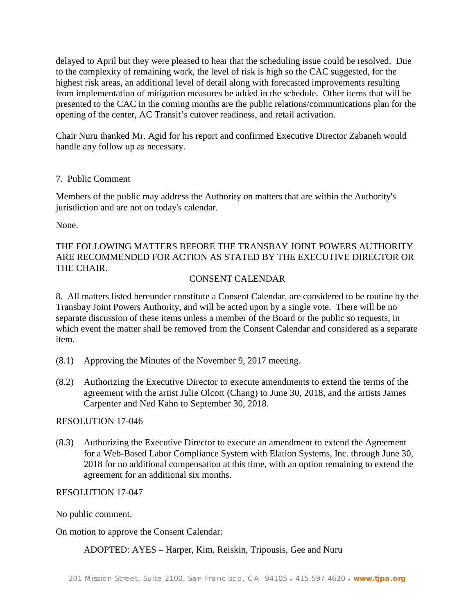delayed to April but they were pleased to hear that the scheduling issue could be resolved. Due to the complexity of remaining work, the level of risk is high so the CAC suggested, for the highest risk areas, an additional level of detail along with forecasted improvements resulting from implementation of mitigation measures be added in the schedule. Other items that will be presented to the CAC in the coming months are the public relations/communications plan for the opening of the center, AC Transit's cutover readiness, and retail activation.

Chair Nuru thanked Mr. Agid for his report and confirmed Executive Director Zabaneh would handle any follow up as necessary.

## 7. Public Comment

Members of the public may address the Authority on matters that are within the Authority's jurisdiction and are not on today's calendar.

None.

# THE FOLLOWING MATTERS BEFORE THE TRANSBAY JOINT POWERS AUTHORITY ARE RECOMMENDED FOR ACTION AS STATED BY THE EXECUTIVE DIRECTOR OR THE CHAIR.

## CONSENT CALENDAR

8. All matters listed hereunder constitute a Consent Calendar, are considered to be routine by the Transbay Joint Powers Authority, and will be acted upon by a single vote. There will be no separate discussion of these items unless a member of the Board or the public so requests, in which event the matter shall be removed from the Consent Calendar and considered as a separate item.

- (8.1) Approving the Minutes of the November 9, 2017 meeting.
- (8.2) Authorizing the Executive Director to execute amendments to extend the terms of the agreement with the artist Julie Olcott (Chang) to June 30, 2018, and the artists James Carpenter and Ned Kahn to September 30, 2018.

## RESOLUTION 17-046

(8.3) Authorizing the Executive Director to execute an amendment to extend the Agreement for a Web-Based Labor Compliance System with Elation Systems, Inc. through June 30, 2018 for no additional compensation at this time, with an option remaining to extend the agreement for an additional six months.

## RESOLUTION 17-047

No public comment.

On motion to approve the Consent Calendar:

## ADOPTED: AYES – Harper, Kim, Reiskin, Tripousis, Gee and Nuru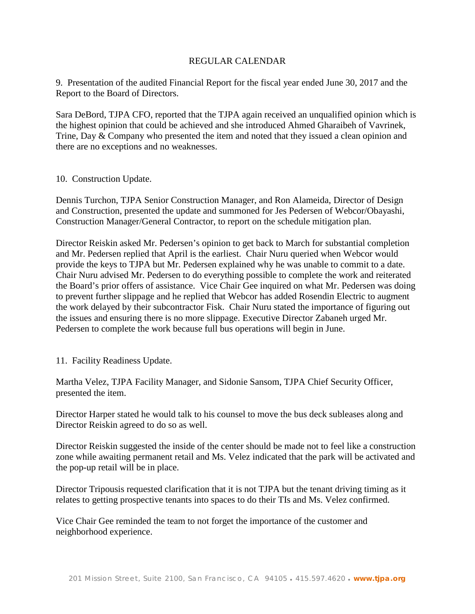## REGULAR CALENDAR

9. Presentation of the audited Financial Report for the fiscal year ended June 30, 2017 and the Report to the Board of Directors.

Sara DeBord, TJPA CFO, reported that the TJPA again received an unqualified opinion which is the highest opinion that could be achieved and she introduced Ahmed Gharaibeh of Vavrinek, Trine, Day & Company who presented the item and noted that they issued a clean opinion and there are no exceptions and no weaknesses.

#### 10. Construction Update.

Dennis Turchon, TJPA Senior Construction Manager, and Ron Alameida, Director of Design and Construction, presented the update and summoned for Jes Pedersen of Webcor/Obayashi, Construction Manager/General Contractor, to report on the schedule mitigation plan.

Director Reiskin asked Mr. Pedersen's opinion to get back to March for substantial completion and Mr. Pedersen replied that April is the earliest. Chair Nuru queried when Webcor would provide the keys to TJPA but Mr. Pedersen explained why he was unable to commit to a date. Chair Nuru advised Mr. Pedersen to do everything possible to complete the work and reiterated the Board's prior offers of assistance. Vice Chair Gee inquired on what Mr. Pedersen was doing to prevent further slippage and he replied that Webcor has added Rosendin Electric to augment the work delayed by their subcontractor Fisk. Chair Nuru stated the importance of figuring out the issues and ensuring there is no more slippage. Executive Director Zabaneh urged Mr. Pedersen to complete the work because full bus operations will begin in June.

11. Facility Readiness Update.

Martha Velez, TJPA Facility Manager, and Sidonie Sansom, TJPA Chief Security Officer, presented the item.

Director Harper stated he would talk to his counsel to move the bus deck subleases along and Director Reiskin agreed to do so as well.

Director Reiskin suggested the inside of the center should be made not to feel like a construction zone while awaiting permanent retail and Ms. Velez indicated that the park will be activated and the pop-up retail will be in place.

Director Tripousis requested clarification that it is not TJPA but the tenant driving timing as it relates to getting prospective tenants into spaces to do their TIs and Ms. Velez confirmed.

Vice Chair Gee reminded the team to not forget the importance of the customer and neighborhood experience.